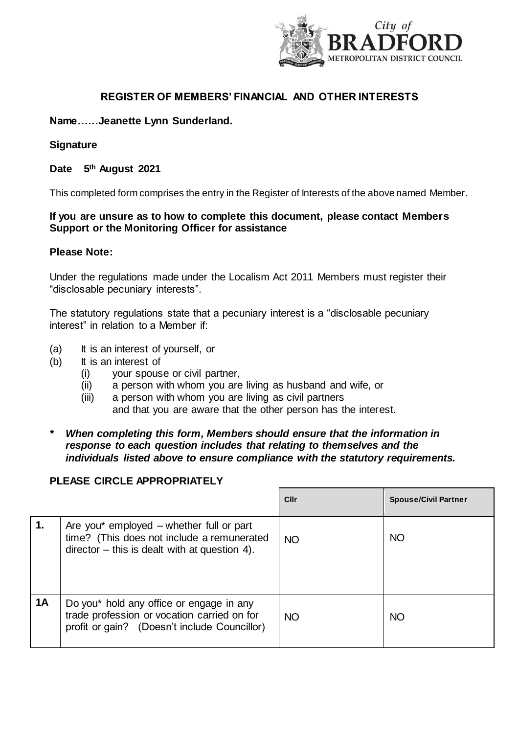

## **REGISTER OF MEMBERS' FINANCIAL AND OTHER INTERESTS**

## **Name……Jeanette Lynn Sunderland.**

#### **Signature**

#### **Date 5th August 2021**

This completed form comprises the entry in the Register of Interests of the above named Member.

## **If you are unsure as to how to complete this document, please contact Members Support or the Monitoring Officer for assistance**

#### **Please Note:**

Under the regulations made under the Localism Act 2011 Members must register their "disclosable pecuniary interests".

The statutory regulations state that a pecuniary interest is a "disclosable pecuniary interest" in relation to a Member if:

- (a) It is an interest of yourself, or
- (b) It is an interest of
	- (i) your spouse or civil partner,
	- (ii) a person with whom you are living as husband and wife, or
	- (iii) a person with whom you are living as civil partners and that you are aware that the other person has the interest.
- *\* When completing this form, Members should ensure that the information in response to each question includes that relating to themselves and the individuals listed above to ensure compliance with the statutory requirements.*

## **PLEASE CIRCLE APPROPRIATELY**

|                |                                                                                                                                          | Cllr      | <b>Spouse/Civil Partner</b> |
|----------------|------------------------------------------------------------------------------------------------------------------------------------------|-----------|-----------------------------|
| $\mathbf{1}$ . | Are you* employed – whether full or part<br>time? (This does not include a remunerated<br>$director - this is dealt with at question 4.$ | <b>NO</b> | <b>NO</b>                   |
| <b>1A</b>      | Do you* hold any office or engage in any<br>trade profession or vocation carried on for<br>profit or gain? (Doesn't include Councillor)  | <b>NO</b> | <b>NO</b>                   |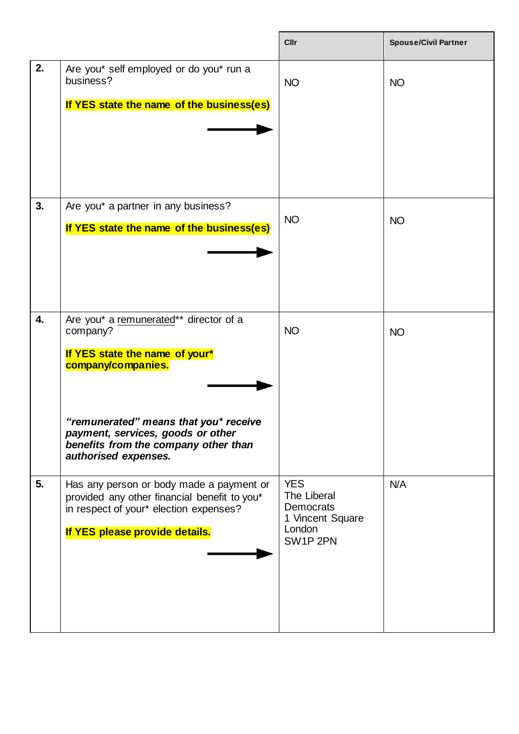|    |                                                                                                                                                                                                                                                          | Cllr                                                                             | <b>Spouse/Civil Partner</b> |
|----|----------------------------------------------------------------------------------------------------------------------------------------------------------------------------------------------------------------------------------------------------------|----------------------------------------------------------------------------------|-----------------------------|
| 2. | Are you* self employed or do you* run a<br>business?<br>If YES state the name of the business(es)                                                                                                                                                        | <b>NO</b>                                                                        | <b>NO</b>                   |
| 3. | Are you* a partner in any business?<br>If YES state the name of the business(es)                                                                                                                                                                         | <b>NO</b>                                                                        | <b>NO</b>                   |
| 4. | Are you* a remunerated** director of a<br>company?<br>If YES state the name of your*<br>company/companies.<br>"remunerated" means that you* receive<br>payment, services, goods or other<br>benefits from the company other than<br>authorised expenses. | <b>NO</b>                                                                        | <b>NO</b>                   |
| 5. | Has any person or body made a payment or<br>provided any other financial benefit to you*<br>in respect of your* election expenses?<br>If YES please provide details.                                                                                     | <b>YES</b><br>The Liberal<br>Democrats<br>1 Vincent Square<br>London<br>SW1P 2PN | N/A                         |

 $\mathbf{r}$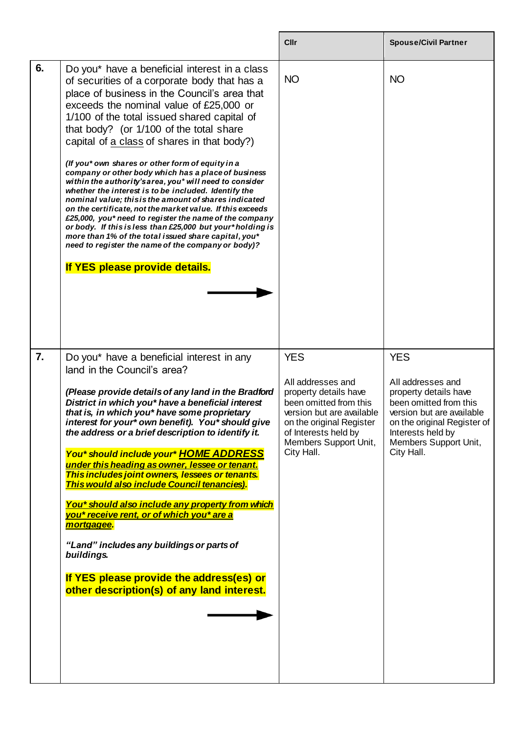|    |                                                                                                                                                                                                                                                                                                                                                                                                                                                                                                                                                                                                                                                                                                                                                                                                                                                                                                                                                              | Cllr                                                                                                                                                                                                       | <b>Spouse/Civil Partner</b>                                                                                                                                                                                |
|----|--------------------------------------------------------------------------------------------------------------------------------------------------------------------------------------------------------------------------------------------------------------------------------------------------------------------------------------------------------------------------------------------------------------------------------------------------------------------------------------------------------------------------------------------------------------------------------------------------------------------------------------------------------------------------------------------------------------------------------------------------------------------------------------------------------------------------------------------------------------------------------------------------------------------------------------------------------------|------------------------------------------------------------------------------------------------------------------------------------------------------------------------------------------------------------|------------------------------------------------------------------------------------------------------------------------------------------------------------------------------------------------------------|
| 6. | Do you* have a beneficial interest in a class<br>of securities of a corporate body that has a<br>place of business in the Council's area that<br>exceeds the nominal value of £25,000 or<br>1/100 of the total issued shared capital of<br>that body? (or 1/100 of the total share<br>capital of a class of shares in that body?)<br>(If you* own shares or other form of equity in a<br>company or other body which has a place of business<br>within the authority's area, you* will need to consider<br>whether the interest is to be included. Identify the<br>nominal value; this is the amount of shares indicated<br>on the certificate, not the market value. If this exceeds<br>£25,000, you* need to register the name of the company<br>or body. If this is less than £25,000 but your*holding is<br>more than 1% of the total issued share capital, you*<br>need to register the name of the company or body)?<br>If YES please provide details. | <b>NO</b>                                                                                                                                                                                                  | <b>NO</b>                                                                                                                                                                                                  |
| 7. | Do you* have a beneficial interest in any<br>land in the Council's area?<br>(Please provide details of any land in the Bradford<br>District in which you* have a beneficial interest<br>that is, in which you* have some proprietary<br>interest for your* own benefit). You* should give<br>the address or a brief description to identify it.<br>You* should include your* HOME ADDRESS<br>under this heading as owner, lessee or tenant.<br>This includes joint owners, lessees or tenants.<br>This would also include Council tenancies).<br>You* should also include any property from which<br>you* receive rent, or of which you* are a<br>mortgagee.<br>"Land" includes any buildings or parts of<br>buildings.<br>If YES please provide the address(es) or<br>other description(s) of any land interest.                                                                                                                                            | <b>YES</b><br>All addresses and<br>property details have<br>been omitted from this<br>version but are available<br>on the original Register<br>of Interests held by<br>Members Support Unit,<br>City Hall. | <b>YES</b><br>All addresses and<br>property details have<br>been omitted from this<br>version but are available<br>on the original Register of<br>Interests held by<br>Members Support Unit,<br>City Hall. |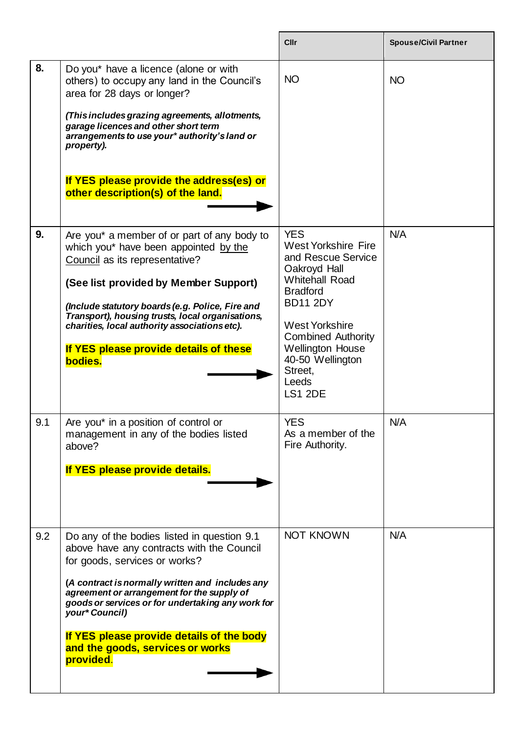|     |                                                                                                                                                                                                                                                                                                                                                                                                  | Cllr                                                                                                                                                                                                                                                                                     | <b>Spouse/Civil Partner</b> |
|-----|--------------------------------------------------------------------------------------------------------------------------------------------------------------------------------------------------------------------------------------------------------------------------------------------------------------------------------------------------------------------------------------------------|------------------------------------------------------------------------------------------------------------------------------------------------------------------------------------------------------------------------------------------------------------------------------------------|-----------------------------|
| 8.  | Do you* have a licence (alone or with<br>others) to occupy any land in the Council's<br>area for 28 days or longer?<br>(This includes grazing agreements, allotments,<br>garage licences and other short term<br>arrangements to use your* authority's land or<br>property).<br>If YES please provide the address(es) or<br>other description(s) of the land.                                    | <b>NO</b>                                                                                                                                                                                                                                                                                | <b>NO</b>                   |
| 9.  | Are you* a member of or part of any body to<br>which you* have been appointed by the<br>Council as its representative?<br>(See list provided by Member Support)<br>(Include statutory boards (e.g. Police, Fire and<br>Transport), housing trusts, local organisations,<br>charities, local authority associations etc).<br>If YES please provide details of these<br>bodies.                    | <b>YES</b><br><b>West Yorkshire Fire</b><br>and Rescue Service<br>Oakroyd Hall<br><b>Whitehall Road</b><br><b>Bradford</b><br><b>BD11 2DY</b><br><b>West Yorkshire</b><br><b>Combined Authority</b><br><b>Wellington House</b><br>40-50 Wellington<br>Street,<br>Leeds<br><b>LS1 2DE</b> | N/A                         |
| 9.1 | Are you* in a position of control or<br>management in any of the bodies listed<br>above?<br>If YES please provide details.                                                                                                                                                                                                                                                                       | <b>YES</b><br>As a member of the<br>Fire Authority.                                                                                                                                                                                                                                      | N/A                         |
| 9.2 | Do any of the bodies listed in question 9.1<br>above have any contracts with the Council<br>for goods, services or works?<br>(A contract is normally written and includes any<br>agreement or arrangement for the supply of<br>goods or services or for undertaking any work for<br>your* Council)<br>If YES please provide details of the body<br>and the goods, services or works<br>provided. | <b>NOT KNOWN</b>                                                                                                                                                                                                                                                                         | N/A                         |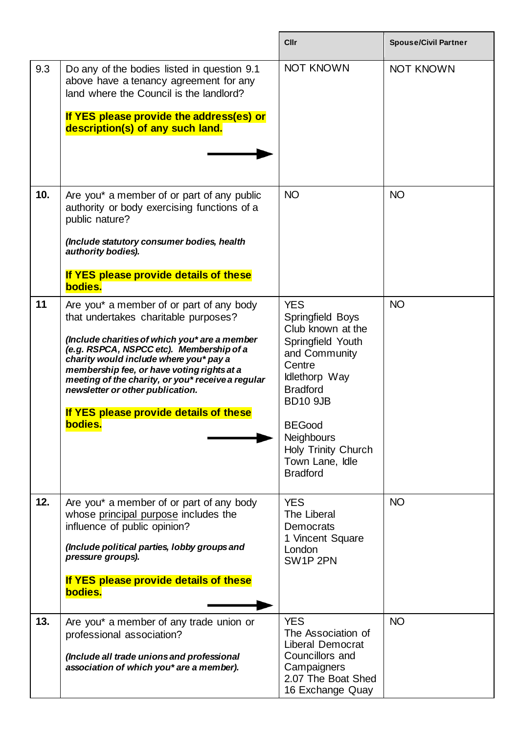|     |                                                                                                                                                                                                                                                                                                                                                                                                                     | <b>Cllr</b>                                                                                                                                                                                                                                                          | <b>Spouse/Civil Partner</b> |
|-----|---------------------------------------------------------------------------------------------------------------------------------------------------------------------------------------------------------------------------------------------------------------------------------------------------------------------------------------------------------------------------------------------------------------------|----------------------------------------------------------------------------------------------------------------------------------------------------------------------------------------------------------------------------------------------------------------------|-----------------------------|
| 9.3 | Do any of the bodies listed in question 9.1<br>above have a tenancy agreement for any<br>land where the Council is the landlord?<br>If YES please provide the address(es) or                                                                                                                                                                                                                                        | <b>NOT KNOWN</b>                                                                                                                                                                                                                                                     | <b>NOT KNOWN</b>            |
|     | description(s) of any such land.                                                                                                                                                                                                                                                                                                                                                                                    |                                                                                                                                                                                                                                                                      |                             |
| 10. | Are you* a member of or part of any public<br>authority or body exercising functions of a<br>public nature?                                                                                                                                                                                                                                                                                                         | <b>NO</b>                                                                                                                                                                                                                                                            | <b>NO</b>                   |
|     | (Include statutory consumer bodies, health<br>authority bodies).                                                                                                                                                                                                                                                                                                                                                    |                                                                                                                                                                                                                                                                      |                             |
|     | If YES please provide details of these<br>bodies.                                                                                                                                                                                                                                                                                                                                                                   |                                                                                                                                                                                                                                                                      |                             |
| 11  | Are you* a member of or part of any body<br>that undertakes charitable purposes?<br>(Include charities of which you* are a member<br>(e.g. RSPCA, NSPCC etc). Membership of a<br>charity would include where you* pay a<br>membership fee, or have voting rights at a<br>meeting of the charity, or you* receive a regular<br>newsletter or other publication.<br>If YES please provide details of these<br>bodies. | <b>YES</b><br>Springfield Boys<br>Club known at the<br>Springfield Youth<br>and Community<br>Centre<br>Idlethorp Way<br><b>Bradford</b><br><b>BD10 9JB</b><br><b>BEGood</b><br><b>Neighbours</b><br><b>Holy Trinity Church</b><br>Town Lane, Idle<br><b>Bradford</b> | <b>NO</b>                   |
| 12. | Are you* a member of or part of any body<br>whose principal purpose includes the<br>influence of public opinion?<br>(Include political parties, lobby groups and<br>pressure groups).<br>If YES please provide details of these<br>bodies.                                                                                                                                                                          | <b>YES</b><br>The Liberal<br>Democrats<br>1 Vincent Square<br>London<br>SW1P 2PN                                                                                                                                                                                     | <b>NO</b>                   |
| 13. | Are you* a member of any trade union or<br>professional association?<br>(Include all trade unions and professional<br>association of which you* are a member).                                                                                                                                                                                                                                                      | <b>YES</b><br>The Association of<br>Liberal Democrat<br>Councillors and<br>Campaigners<br>2.07 The Boat Shed<br>16 Exchange Quay                                                                                                                                     | <b>NO</b>                   |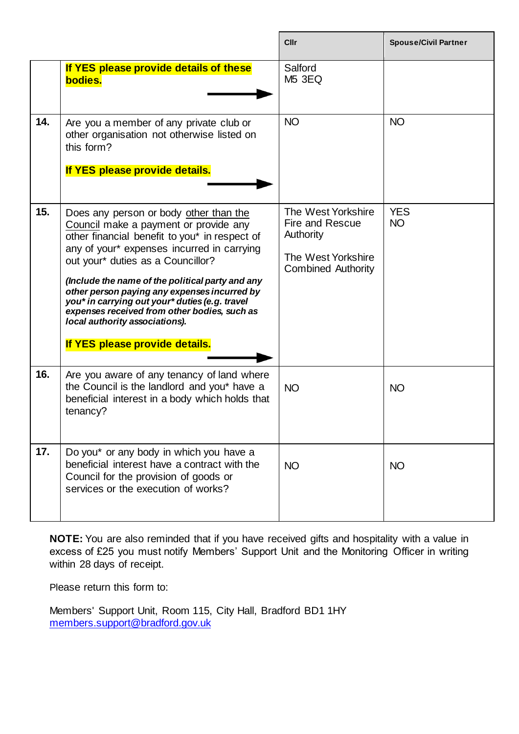|     |                                                                                                                                                                                                                                                                                                                                                                                                                                                                                               | Cllr                                                                                                  | <b>Spouse/Civil Partner</b> |
|-----|-----------------------------------------------------------------------------------------------------------------------------------------------------------------------------------------------------------------------------------------------------------------------------------------------------------------------------------------------------------------------------------------------------------------------------------------------------------------------------------------------|-------------------------------------------------------------------------------------------------------|-----------------------------|
|     | If YES please provide details of these<br>bodies.                                                                                                                                                                                                                                                                                                                                                                                                                                             | Salford<br><b>M5 3EQ</b>                                                                              |                             |
| 14. | Are you a member of any private club or<br>other organisation not otherwise listed on<br>this form?<br>If YES please provide details.                                                                                                                                                                                                                                                                                                                                                         | <b>NO</b>                                                                                             | <b>NO</b>                   |
| 15. | Does any person or body other than the<br>Council make a payment or provide any<br>other financial benefit to you* in respect of<br>any of your* expenses incurred in carrying<br>out your* duties as a Councillor?<br>(Include the name of the political party and any<br>other person paying any expenses incurred by<br>you* in carrying out your* duties (e.g. travel<br>expenses received from other bodies, such as<br>local authority associations).<br>If YES please provide details. | The West Yorkshire<br>Fire and Rescue<br>Authority<br>The West Yorkshire<br><b>Combined Authority</b> | <b>YES</b><br><b>NO</b>     |
| 16. | Are you aware of any tenancy of land where<br>the Council is the landlord and you* have a<br>beneficial interest in a body which holds that<br>tenancy?                                                                                                                                                                                                                                                                                                                                       | <b>NO</b>                                                                                             | <b>NO</b>                   |
| 17. | Do you* or any body in which you have a<br>beneficial interest have a contract with the<br>Council for the provision of goods or<br>services or the execution of works?                                                                                                                                                                                                                                                                                                                       | <b>NO</b>                                                                                             | <b>NO</b>                   |

**NOTE:** You are also reminded that if you have received gifts and hospitality with a value in excess of £25 you must notify Members' Support Unit and the Monitoring Officer in writing within 28 days of receipt.

Please return this form to:

Members' Support Unit, Room 115, City Hall, Bradford BD1 1HY [members.support@bradford.gov.uk](mailto:members.support@bradford.gov.uk)